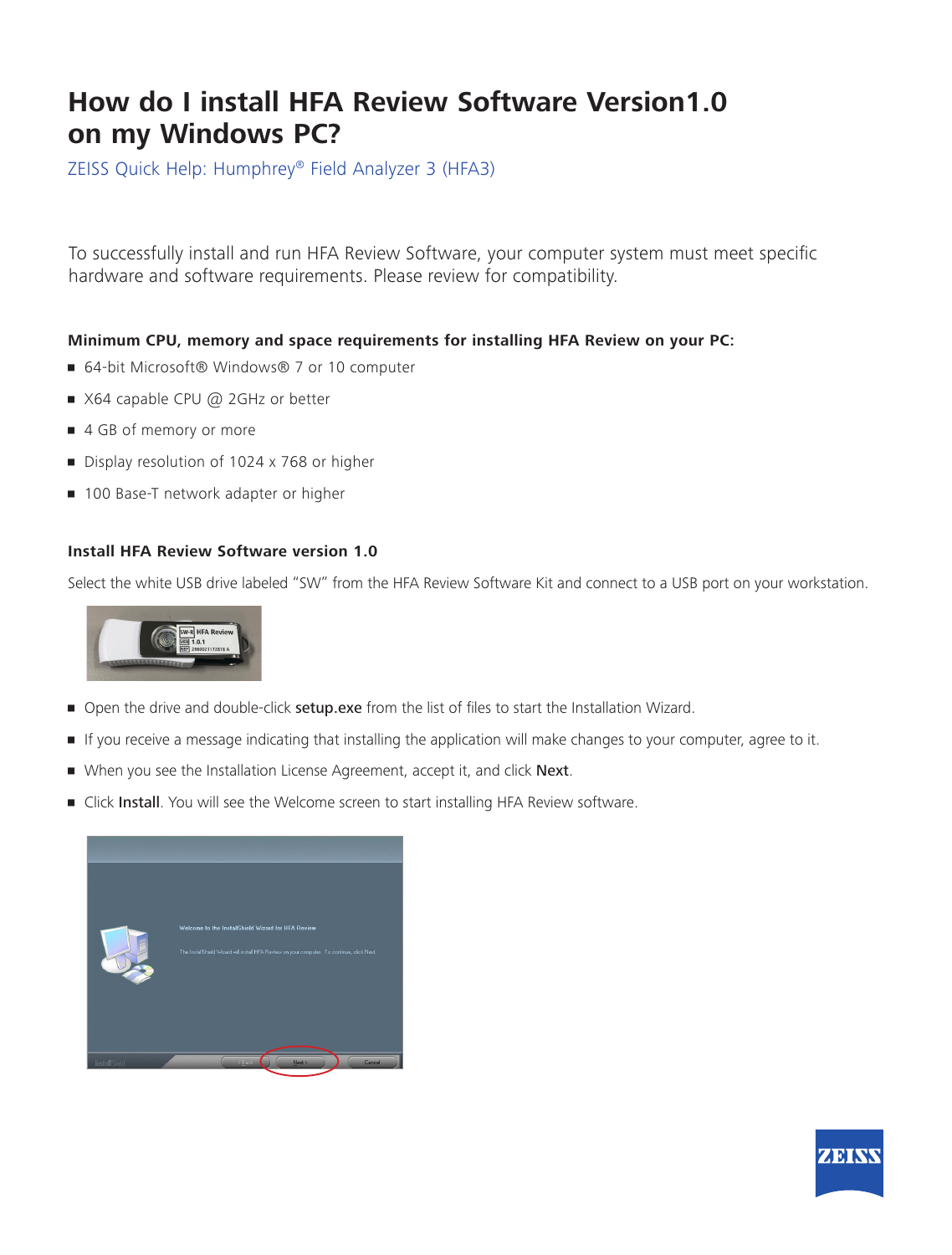## **How do I install HFA Review Software Version1.0 on my Windows PC?**

ZEISS Quick Help: Humphrey® Field Analyzer 3 (HFA3)

To successfully install and run HFA Review Software, your computer system must meet specific hardware and software requirements. Please review for compatibility.

## **Minimum CPU, memory and space requirements for installing HFA Review on your PC:**

- 64-bit Microsoft® Windows® 7 or 10 computer
- X64 capable CPU @ 2GHz or better
- 4 GB of memory or more
- **•** Display resolution of 1024 x 768 or higher
- **100 Base-T network adapter or higher**

## **Install HFA Review Software version 1.0**

Select the white USB drive labeled "SW" from the HFA Review Software Kit and connect to a USB port on your workstation.



- Open the drive and double-click setup.exe from the list of files to start the Installation Wizard.
- If you receive a message indicating that installing the application will make changes to your computer, agree to it.
- When you see the Installation License Agreement, accept it, and click Next.
- Click Install. You will see the Welcome screen to start installing HFA Review software.